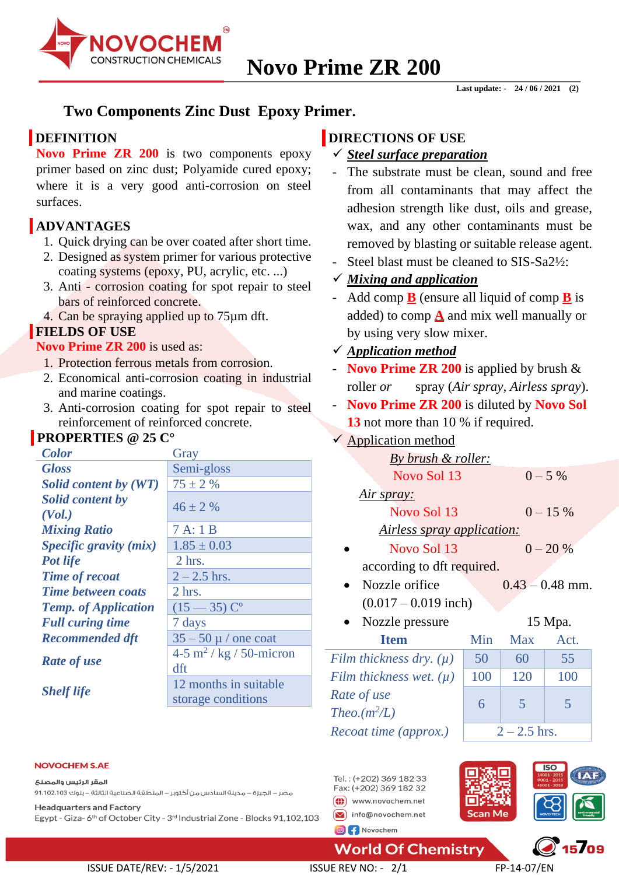

# **Two Components Zinc Dust Epoxy Primer.**

# **DEFINITION**

**Novo Prime ZR 200** is two components epoxy primer based on zinc dust; Polyamide cured epoxy; where it is a very good anti-corrosion on steel surfaces.

# **ADVANTAGES**

- 1. Quick drying can be over coated after short time.
- 2. Designed as system primer for various protective coating systems (epoxy, PU, acrylic, etc. ...)
- 3. Anti corrosion coating for spot repair to steel bars of reinforced concrete.
- 4. Can be spraying applied up to 75µm dft.

# **FIELDS OF USE**

## **Novo Prime ZR 200** is used as:

- 1. Protection ferrous metals from corrosion.
- 2. Economical anti-corrosion coating in industrial and marine coatings.
- 3. Anti-corrosion coating for spot repair to steel reinforcement of reinforced concrete.

# **PROPERTIES @ 25 C°**

| <b>Color</b>                | Gray                                |  |  |
|-----------------------------|-------------------------------------|--|--|
| <b>Gloss</b>                | Semi-gloss                          |  |  |
| Solid content by (WT)       | $75 \pm 2 \%$                       |  |  |
| <b>Solid content by</b>     | $46 \pm 2\%$                        |  |  |
| (Vol.)                      |                                     |  |  |
| <b>Mixing Ratio</b>         | 7A:1B                               |  |  |
| Specific gravity (mix)      | $1.85 \pm 0.03$                     |  |  |
| <b>Pot life</b>             | $2$ hrs.                            |  |  |
| <b>Time of recoat</b>       | $2 - 2.5$ hrs.                      |  |  |
| <b>Time between coats</b>   | 2 hrs.                              |  |  |
| <b>Temp.</b> of Application | $(15 - 35) C^{\circ}$               |  |  |
| <b>Full curing time</b>     | 7 days                              |  |  |
| <b>Recommended dft</b>      | $35 - 50 \mu$ / one coat            |  |  |
| <b>Rate of use</b>          | 4-5 m <sup>2</sup> / kg / 50-micron |  |  |
|                             | dft                                 |  |  |
| <b>Shelf life</b>           | 12 months in suitable               |  |  |
|                             | storage conditions                  |  |  |

# **DIRECTIONS OF USE**

- ✓ *Steel surface preparation*
- The substrate must be clean, sound and free from all contaminants that may affect the adhesion strength like dust, oils and grease, wax, and any other contaminants must be removed by blasting or suitable release agent.
- Steel blast must be cleaned to SIS-Sa2<sup>1</sup>/<sub>2</sub>:

# ✓ *Mixing and application*

- Add comp  $\underline{\mathbf{B}}$  (ensure all liquid of comp  $\underline{\mathbf{B}}$  is added) to comp **A** and mix well manually or by using very slow mixer.

# ✓ *Application method*

- **Novo Prime ZR 200** is applied by brush & roller *or* spray (*Air spray, Airless spray*).
- **Novo Prime ZR 200** is diluted by **Novo Sol** 13 not more than 10 % if required.

# $\checkmark$  Application method

| By brush & roller:          |           |                   |           |  |
|-----------------------------|-----------|-------------------|-----------|--|
| Novo Sol 13                 |           |                   | $0 - 5\%$ |  |
| Air spray:                  |           |                   |           |  |
| Novo Sol 13                 |           | $0 - 15\%$        |           |  |
| Airless spray application:  |           |                   |           |  |
| Novo Sol 13                 | $0 - 20%$ |                   |           |  |
| according to dft required.  |           |                   |           |  |
| Nozzle orifice              |           | $0.43 - 0.48$ mm. |           |  |
| $(0.017 - 0.019$ inch)      |           |                   |           |  |
| Nozzle pressure             |           | 15 Mpa.           |           |  |
| <b>Item</b>                 | Min       | <b>Max</b>        | Act.      |  |
| Film thickness dry. $(\mu)$ | 50        | 60                | 55        |  |
| Film thickness wet. $(\mu)$ | 100       | 120               | 100       |  |

*Theo.* $(m^2/L)$ *Recoat time (approx.)*  $\vert$  2 – 2.5 hrs.

**World Of Chemistry** 

Tel.: (+202) 369 182 33

Fax: (+202) 369 182 32

(1) www.novochem.net

# *(L)* 6 5 5

#### **NOVOCHEM S.AE**

المقر الرئيس والمصنع

مصر – الجيزة – مدينة السادس من أكتوبر – المنطقة الصناعية الثالثة – بلوك 1،102،103 91،102

**Headquarters and Factory** Egypt - Giza-6<sup>th</sup> of October City - 3<sup>rd</sup> Industrial Zone - Blocks 91,102,103

 $\boxed{\smash{\triangleright}}$  info@novochem.net **O** f Novochem

*Rate of use*

# Scan Me  $15709$

# ISSUE DATE/REV: - 1/5/2021 ISSUE REV NO: - 2/1 FP-14-07/EN